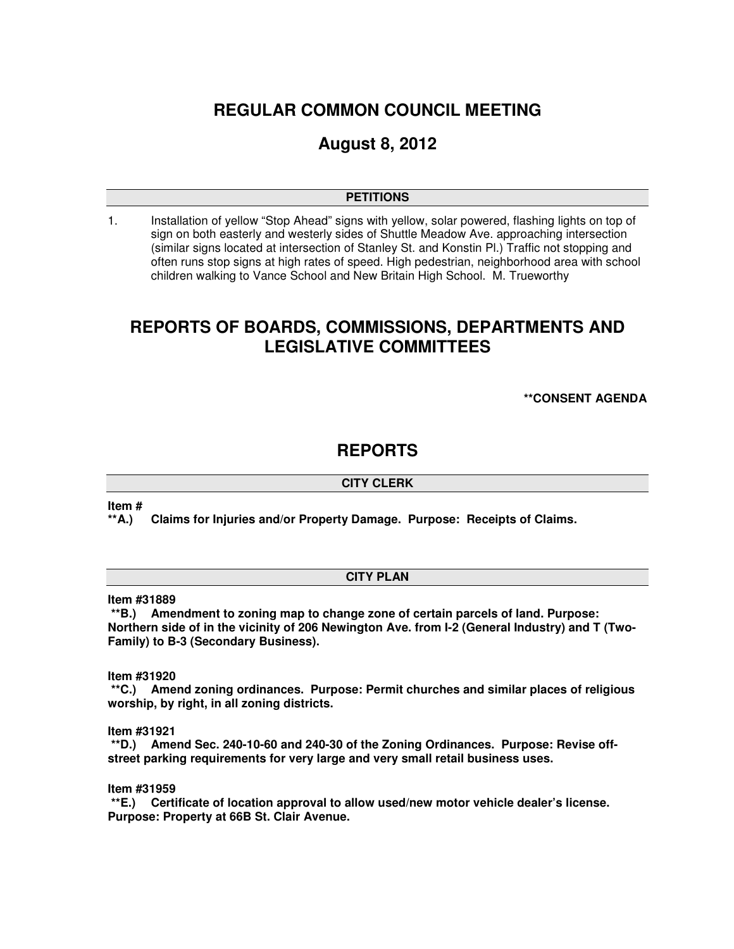# **REGULAR COMMON COUNCIL MEETING**

# **August 8, 2012**

### **PETITIONS**

1. Installation of yellow "Stop Ahead" signs with yellow, solar powered, flashing lights on top of sign on both easterly and westerly sides of Shuttle Meadow Ave. approaching intersection (similar signs located at intersection of Stanley St. and Konstin Pl.) Traffic not stopping and often runs stop signs at high rates of speed. High pedestrian, neighborhood area with school children walking to Vance School and New Britain High School. M. Trueworthy

# **REPORTS OF BOARDS, COMMISSIONS, DEPARTMENTS AND LEGISLATIVE COMMITTEES**

**\*\*CONSENT AGENDA** 

# **REPORTS**

## **CITY CLERK**

**Item #** 

**\*\*A.) Claims for Injuries and/or Property Damage. Purpose: Receipts of Claims.** 

### **CITY PLAN**

**Item #31889** 

 **\*\*B.) Amendment to zoning map to change zone of certain parcels of land. Purpose: Northern side of in the vicinity of 206 Newington Ave. from I-2 (General Industry) and T (Two-Family) to B-3 (Secondary Business).** 

**Item #31920** 

 **\*\*C.) Amend zoning ordinances. Purpose: Permit churches and similar places of religious worship, by right, in all zoning districts.** 

**Item #31921** 

 **\*\*D.) Amend Sec. 240-10-60 and 240-30 of the Zoning Ordinances. Purpose: Revise offstreet parking requirements for very large and very small retail business uses.** 

**Item #31959** 

 **\*\*E.) Certificate of location approval to allow used/new motor vehicle dealer's license. Purpose: Property at 66B St. Clair Avenue.**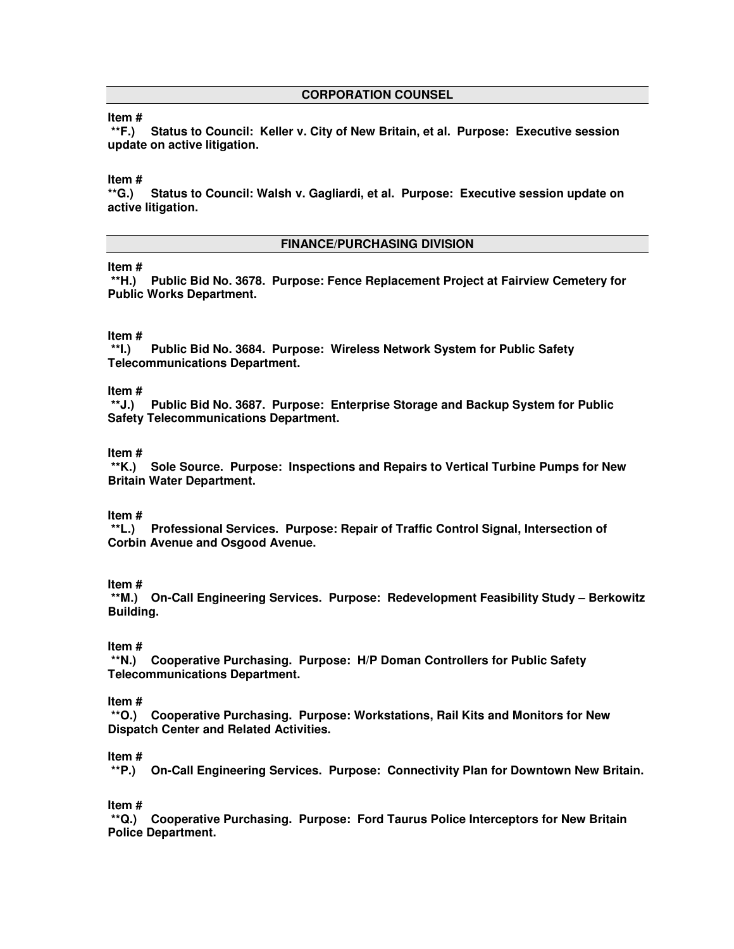#### **CORPORATION COUNSEL**

### **Item #**

 **\*\*F.) Status to Council: Keller v. City of New Britain, et al. Purpose: Executive session update on active litigation.** 

### **Item #**

**\*\*G.) Status to Council: Walsh v. Gagliardi, et al. Purpose: Executive session update on active litigation.** 

#### **FINANCE/PURCHASING DIVISION**

#### **Item #**

 **\*\*H.) Public Bid No. 3678. Purpose: Fence Replacement Project at Fairview Cemetery for Public Works Department.** 

# **Item #**

Public Bid No. 3684. Purpose: Wireless Network System for Public Safety **Telecommunications Department.** 

## **Item #**

 **\*\*J.) Public Bid No. 3687. Purpose: Enterprise Storage and Backup System for Public Safety Telecommunications Department.** 

#### **Item #**

 **\*\*K.) Sole Source. Purpose: Inspections and Repairs to Vertical Turbine Pumps for New Britain Water Department.** 

#### **Item #**

 **\*\*L.) Professional Services. Purpose: Repair of Traffic Control Signal, Intersection of Corbin Avenue and Osgood Avenue.** 

#### **Item #**

 **\*\*M.) On-Call Engineering Services. Purpose: Redevelopment Feasibility Study – Berkowitz Building.**

#### **Item #**

 **\*\*N.) Cooperative Purchasing. Purpose: H/P Doman Controllers for Public Safety Telecommunications Department.** 

#### **Item #**

 **\*\*O.) Cooperative Purchasing. Purpose: Workstations, Rail Kits and Monitors for New Dispatch Center and Related Activities.** 

#### **Item #**

 **\*\*P.) On-Call Engineering Services. Purpose: Connectivity Plan for Downtown New Britain.**

#### **Item #**

 **\*\*Q.) Cooperative Purchasing. Purpose: Ford Taurus Police Interceptors for New Britain Police Department.**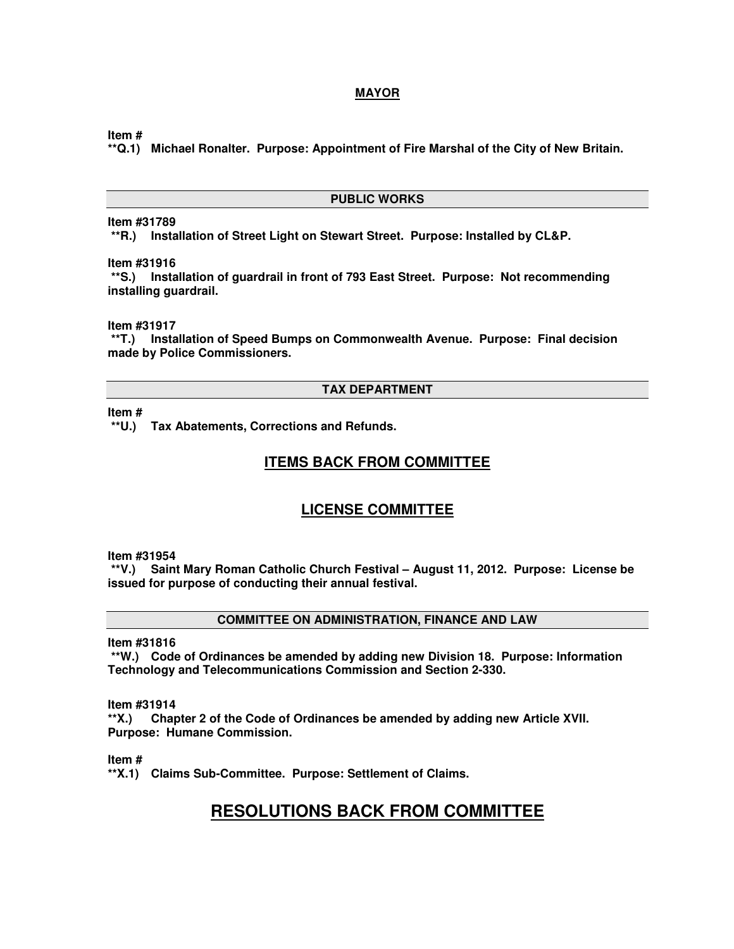## **MAYOR**

**Item #** 

**\*\*Q.1) Michael Ronalter. Purpose: Appointment of Fire Marshal of the City of New Britain.** 

#### **PUBLIC WORKS**

## **Item #31789**

 **\*\*R.) Installation of Street Light on Stewart Street. Purpose: Installed by CL&P.** 

**Item #31916** 

 **\*\*S.) Installation of guardrail in front of 793 East Street. Purpose: Not recommending installing guardrail.** 

**Item #31917** 

 **\*\*T.) Installation of Speed Bumps on Commonwealth Avenue. Purpose: Final decision made by Police Commissioners.** 

#### **TAX DEPARTMENT**

**Item #** 

 **\*\*U.) Tax Abatements, Corrections and Refunds.** 

## **ITEMS BACK FROM COMMITTEE**

## **LICENSE COMMITTEE**

**Item #31954** 

 **\*\*V.) Saint Mary Roman Catholic Church Festival – August 11, 2012. Purpose: License be issued for purpose of conducting their annual festival.** 

**COMMITTEE ON ADMINISTRATION, FINANCE AND LAW** 

**Item #31816** 

 **\*\*W.) Code of Ordinances be amended by adding new Division 18. Purpose: Information Technology and Telecommunications Commission and Section 2-330.** 

**Item #31914** 

**\*\*X.) Chapter 2 of the Code of Ordinances be amended by adding new Article XVII. Purpose: Humane Commission.** 

**Item #** 

**\*\*X.1) Claims Sub-Committee. Purpose: Settlement of Claims.** 

# **RESOLUTIONS BACK FROM COMMITTEE**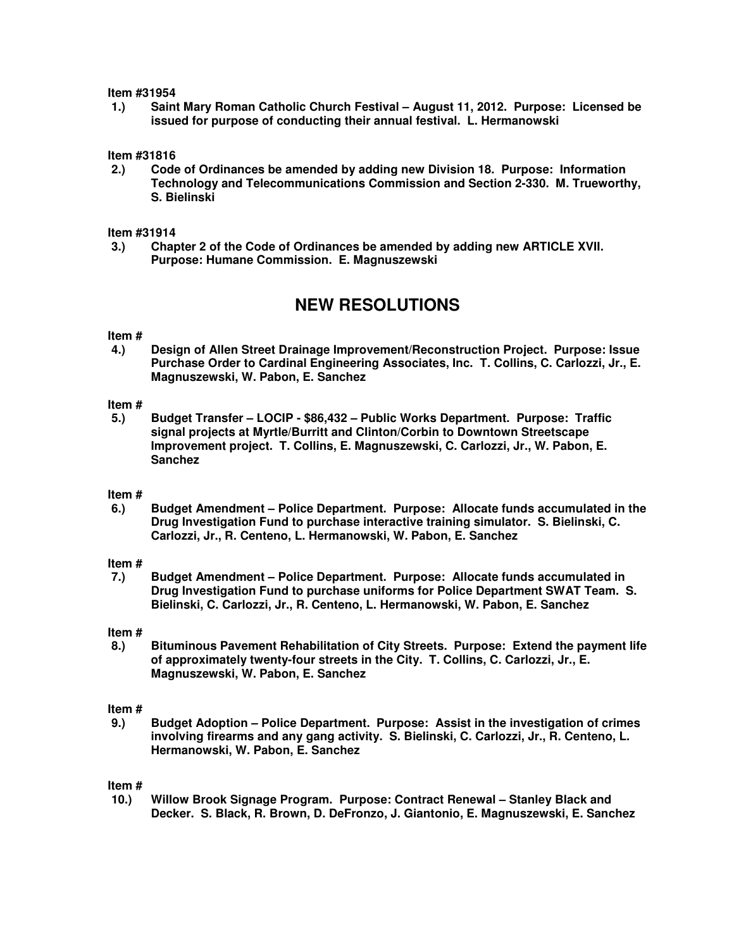#### **Item #31954**

**1.) Saint Mary Roman Catholic Church Festival – August 11, 2012. Purpose: Licensed be issued for purpose of conducting their annual festival. L. Hermanowski** 

# **Item #31816**

**2.) Code of Ordinances be amended by adding new Division 18. Purpose: Information Technology and Telecommunications Commission and Section 2-330. M. Trueworthy, S. Bielinski** 

#### **Item #31914**

**3.) Chapter 2 of the Code of Ordinances be amended by adding new ARTICLE XVII. Purpose: Humane Commission. E. Magnuszewski** 

# **NEW RESOLUTIONS**

# **Item #**

**4.) Design of Allen Street Drainage Improvement/Reconstruction Project. Purpose: Issue Purchase Order to Cardinal Engineering Associates, Inc. T. Collins, C. Carlozzi, Jr., E. Magnuszewski, W. Pabon, E. Sanchez** 

#### **Item #**

**5.) Budget Transfer – LOCIP - \$86,432 – Public Works Department. Purpose: Traffic signal projects at Myrtle/Burritt and Clinton/Corbin to Downtown Streetscape Improvement project. T. Collins, E. Magnuszewski, C. Carlozzi, Jr., W. Pabon, E. Sanchez** 

#### **Item #**

**6.) Budget Amendment – Police Department. Purpose: Allocate funds accumulated in the Drug Investigation Fund to purchase interactive training simulator. S. Bielinski, C. Carlozzi, Jr., R. Centeno, L. Hermanowski, W. Pabon, E. Sanchez** 

#### **Item #**

**7.) Budget Amendment – Police Department. Purpose: Allocate funds accumulated in Drug Investigation Fund to purchase uniforms for Police Department SWAT Team. S. Bielinski, C. Carlozzi, Jr., R. Centeno, L. Hermanowski, W. Pabon, E. Sanchez** 

#### **Item #**

**8.) Bituminous Pavement Rehabilitation of City Streets. Purpose: Extend the payment life of approximately twenty-four streets in the City. T. Collins, C. Carlozzi, Jr., E. Magnuszewski, W. Pabon, E. Sanchez** 

#### **Item #**

**9.) Budget Adoption – Police Department. Purpose: Assist in the investigation of crimes involving firearms and any gang activity. S. Bielinski, C. Carlozzi, Jr., R. Centeno, L. Hermanowski, W. Pabon, E. Sanchez** 

#### **Item #**

**10.) Willow Brook Signage Program. Purpose: Contract Renewal – Stanley Black and Decker. S. Black, R. Brown, D. DeFronzo, J. Giantonio, E. Magnuszewski, E. Sanchez**